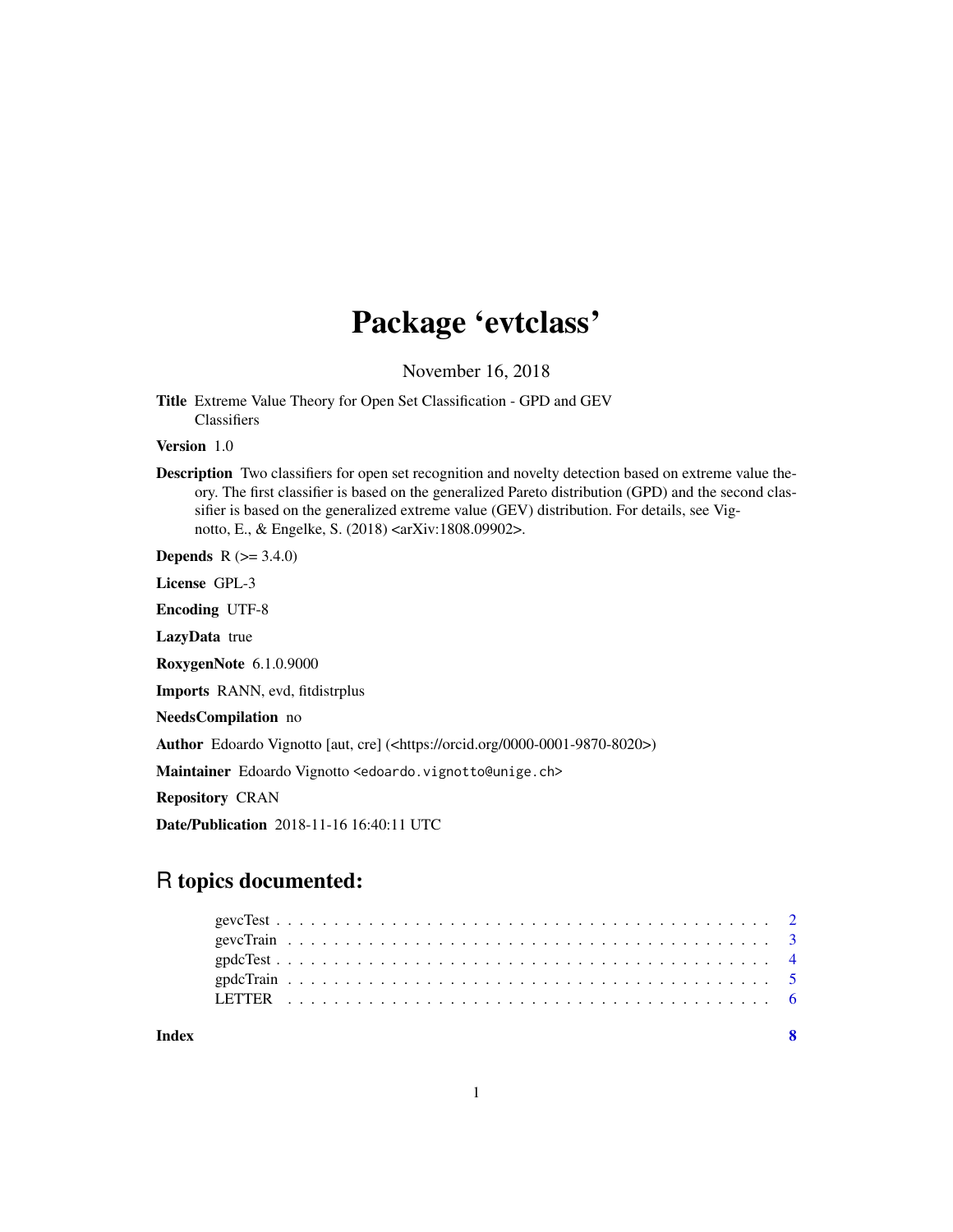# Package 'evtclass'

November 16, 2018

Title Extreme Value Theory for Open Set Classification - GPD and GEV Classifiers

Version 1.0

Description Two classifiers for open set recognition and novelty detection based on extreme value theory. The first classifier is based on the generalized Pareto distribution (GPD) and the second classifier is based on the generalized extreme value (GEV) distribution. For details, see Vignotto, E., & Engelke, S. (2018) <arXiv:1808.09902>.

**Depends**  $R (= 3.4.0)$ 

License GPL-3

Encoding UTF-8

LazyData true

RoxygenNote 6.1.0.9000

Imports RANN, evd, fitdistrplus

NeedsCompilation no

Author Edoardo Vignotto [aut, cre] (<https://orcid.org/0000-0001-9870-8020>)

Maintainer Edoardo Vignotto <edoardo.vignotto@unige.ch>

Repository CRAN

Date/Publication 2018-11-16 16:40:11 UTC

## R topics documented:

| Index |  |  |  |  |  |  |  |  |  |  |  |  |  |  |  |  |  |  |  |  |  |  |  |
|-------|--|--|--|--|--|--|--|--|--|--|--|--|--|--|--|--|--|--|--|--|--|--|--|
|       |  |  |  |  |  |  |  |  |  |  |  |  |  |  |  |  |  |  |  |  |  |  |  |
|       |  |  |  |  |  |  |  |  |  |  |  |  |  |  |  |  |  |  |  |  |  |  |  |
|       |  |  |  |  |  |  |  |  |  |  |  |  |  |  |  |  |  |  |  |  |  |  |  |
|       |  |  |  |  |  |  |  |  |  |  |  |  |  |  |  |  |  |  |  |  |  |  |  |
|       |  |  |  |  |  |  |  |  |  |  |  |  |  |  |  |  |  |  |  |  |  |  |  |

1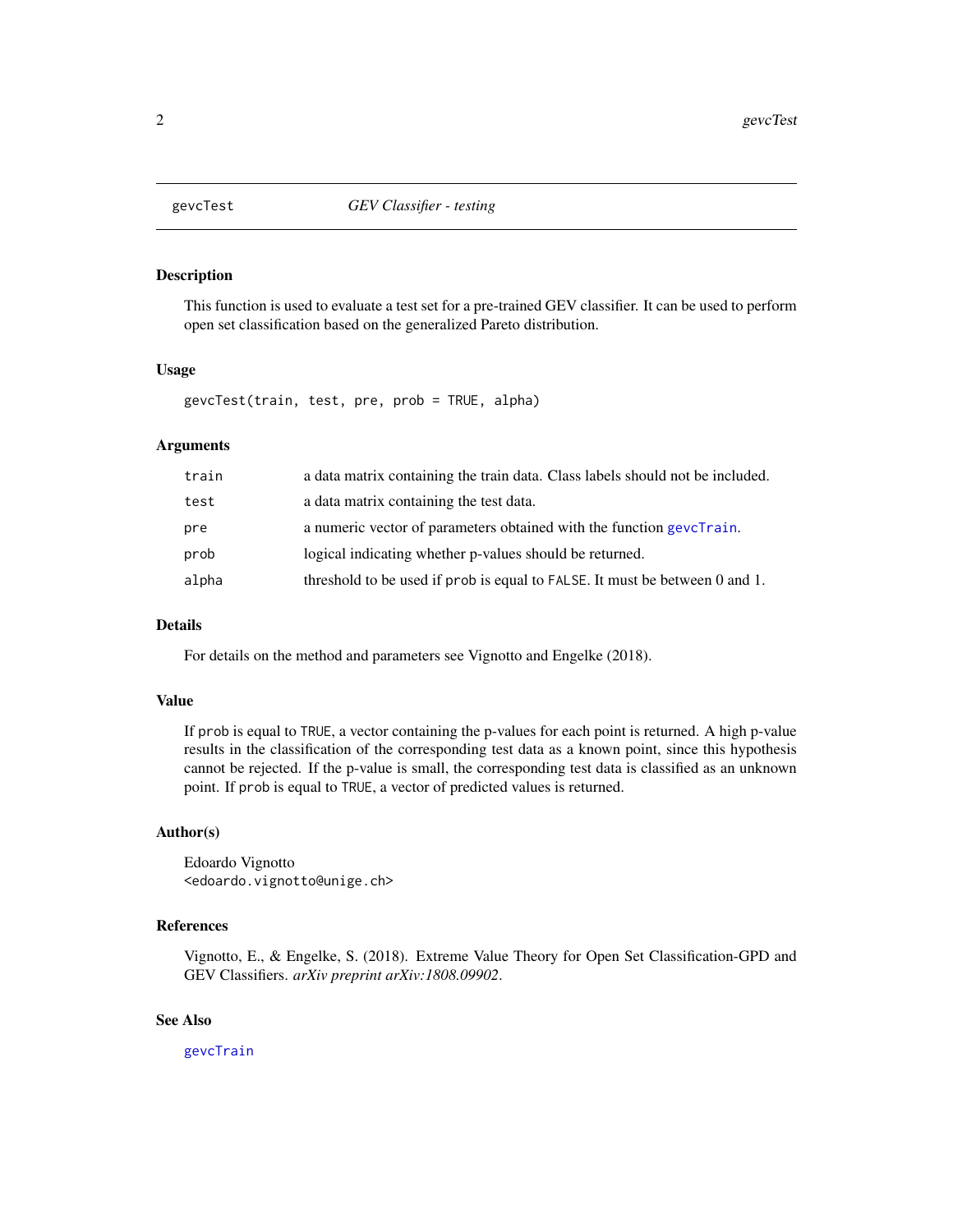<span id="page-1-1"></span><span id="page-1-0"></span>

#### Description

This function is used to evaluate a test set for a pre-trained GEV classifier. It can be used to perform open set classification based on the generalized Pareto distribution.

#### Usage

gevcTest(train, test, pre, prob = TRUE, alpha)

#### Arguments

| train | a data matrix containing the train data. Class labels should not be included. |
|-------|-------------------------------------------------------------------------------|
| test  | a data matrix containing the test data.                                       |
| pre   | a numeric vector of parameters obtained with the function gevel rain.         |
| prob  | logical indicating whether p-values should be returned.                       |
| alpha | threshold to be used if prob is equal to FALSE. It must be between 0 and 1.   |

#### Details

For details on the method and parameters see Vignotto and Engelke (2018).

#### Value

If prob is equal to TRUE, a vector containing the p-values for each point is returned. A high p-value results in the classification of the corresponding test data as a known point, since this hypothesis cannot be rejected. If the p-value is small, the corresponding test data is classified as an unknown point. If prob is equal to TRUE, a vector of predicted values is returned.

#### Author(s)

Edoardo Vignotto <edoardo.vignotto@unige.ch>

#### References

Vignotto, E., & Engelke, S. (2018). Extreme Value Theory for Open Set Classification-GPD and GEV Classifiers. *arXiv preprint arXiv:1808.09902*.

#### See Also

[gevcTrain](#page-2-1)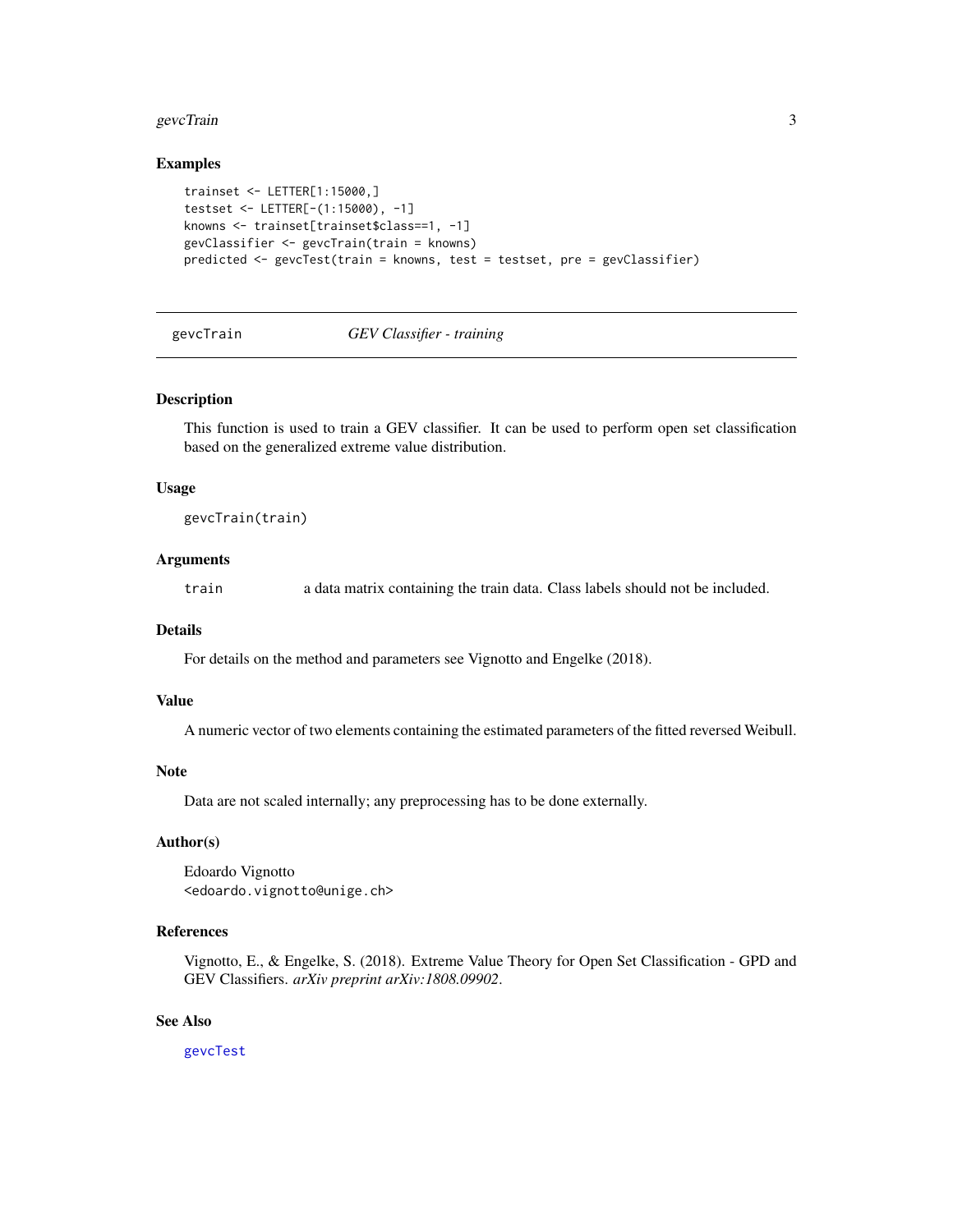#### <span id="page-2-0"></span>gevcTrain 3

#### Examples

```
trainset <- LETTER[1:15000,]
testset <- LETTER[-(1:15000), -1]
knowns <- trainset[trainset$class==1, -1]
gevClassifier <- gevcTrain(train = knowns)
predicted <- gevcTest(train = knowns, test = testset, pre = gevClassifier)
```
#### <span id="page-2-1"></span>gevcTrain *GEV Classifier - training*

#### Description

This function is used to train a GEV classifier. It can be used to perform open set classification based on the generalized extreme value distribution.

#### Usage

```
gevcTrain(train)
```
#### Arguments

train a data matrix containing the train data. Class labels should not be included.

#### **Details**

For details on the method and parameters see Vignotto and Engelke (2018).

#### Value

A numeric vector of two elements containing the estimated parameters of the fitted reversed Weibull.

#### Note

Data are not scaled internally; any preprocessing has to be done externally.

#### Author(s)

Edoardo Vignotto <edoardo.vignotto@unige.ch>

#### References

Vignotto, E., & Engelke, S. (2018). Extreme Value Theory for Open Set Classification - GPD and GEV Classifiers. *arXiv preprint arXiv:1808.09902*.

#### See Also

[gevcTest](#page-1-1)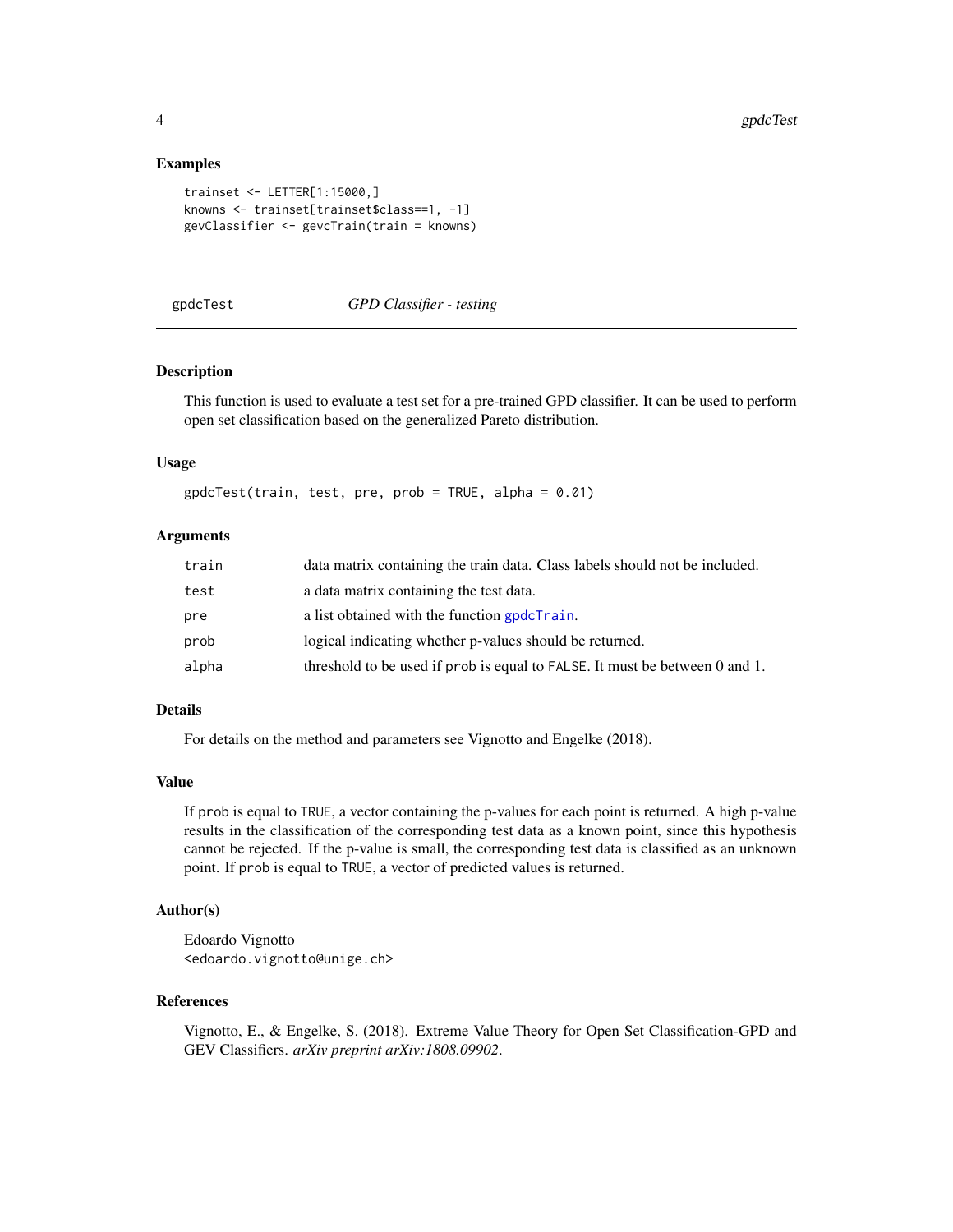#### Examples

```
trainset <- LETTER[1:15000,]
knowns <- trainset[trainset$class==1, -1]
gevClassifier <- gevcTrain(train = knowns)
```
#### <span id="page-3-1"></span>gpdcTest *GPD Classifier - testing*

#### Description

This function is used to evaluate a test set for a pre-trained GPD classifier. It can be used to perform open set classification based on the generalized Pareto distribution.

#### Usage

 $gpdcTest(train, test, pre, prob = TRUE, alpha = 0.01)$ 

#### **Arguments**

| train | data matrix containing the train data. Class labels should not be included. |
|-------|-----------------------------------------------------------------------------|
| test  | a data matrix containing the test data.                                     |
| pre   | a list obtained with the function gpdcTrain.                                |
| prob  | logical indicating whether p-values should be returned.                     |
| alpha | threshold to be used if prob is equal to FALSE. It must be between 0 and 1. |

#### Details

For details on the method and parameters see Vignotto and Engelke (2018).

#### Value

If prob is equal to TRUE, a vector containing the p-values for each point is returned. A high p-value results in the classification of the corresponding test data as a known point, since this hypothesis cannot be rejected. If the p-value is small, the corresponding test data is classified as an unknown point. If prob is equal to TRUE, a vector of predicted values is returned.

#### Author(s)

Edoardo Vignotto <edoardo.vignotto@unige.ch>

#### References

Vignotto, E., & Engelke, S. (2018). Extreme Value Theory for Open Set Classification-GPD and GEV Classifiers. *arXiv preprint arXiv:1808.09902*.

<span id="page-3-0"></span>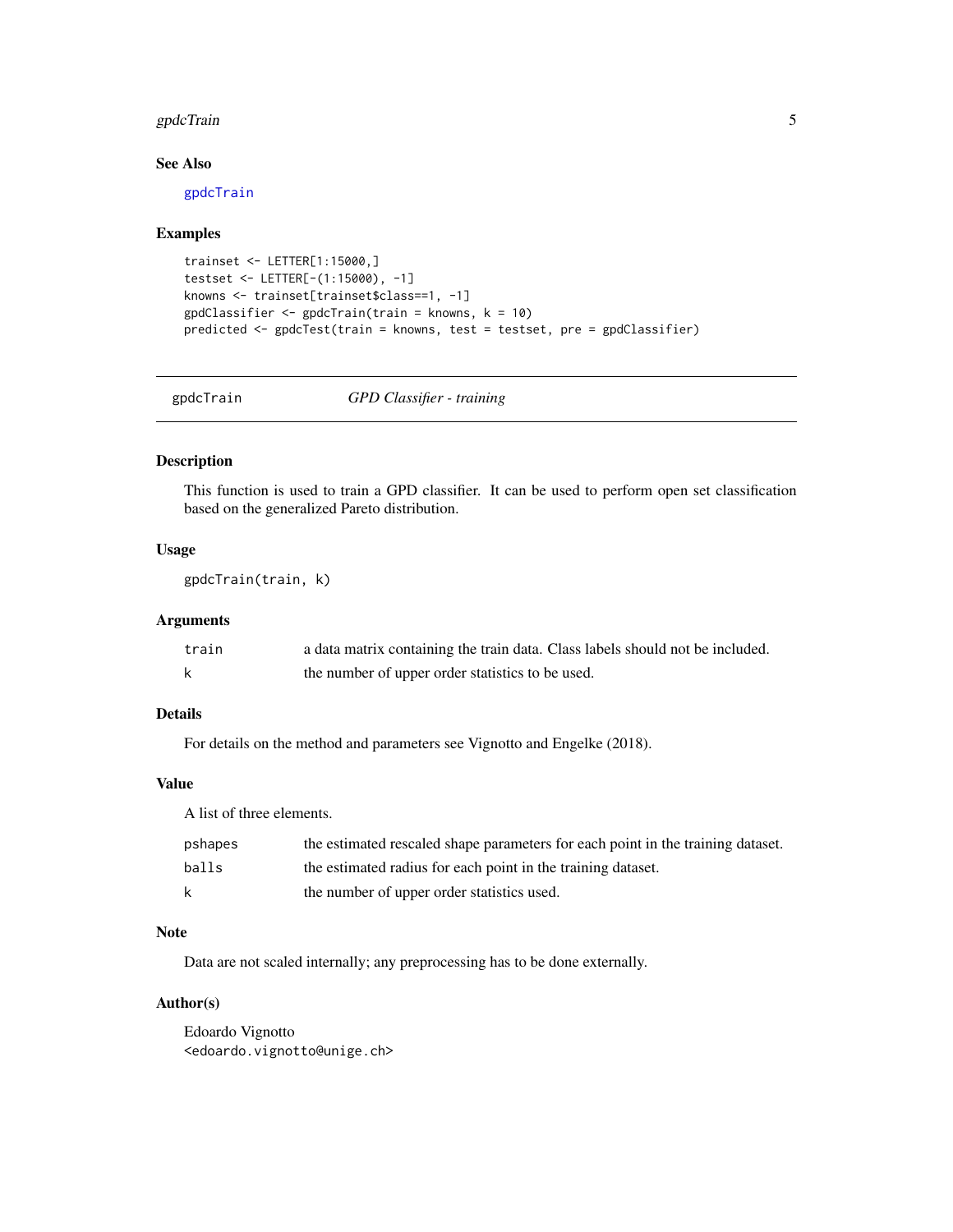#### <span id="page-4-0"></span>gpdcTrain 55 September 2014 1996 September 2014 1997 September 2014 1997 September 2014 1997 September 2014 19

#### See Also

[gpdcTrain](#page-4-1)

#### Examples

```
trainset <- LETTER[1:15000,]
testset <- LETTER[-(1:15000), -1]
knowns <- trainset[trainset$class==1, -1]
gpdClassifier < -gpdCTrain(train = knows, k = 10)predicted <- gpdcTest(train = knowns, test = testset, pre = gpdClassifier)
```
<span id="page-4-1"></span>

#### gpdcTrain *GPD Classifier - training*

#### Description

This function is used to train a GPD classifier. It can be used to perform open set classification based on the generalized Pareto distribution.

#### Usage

gpdcTrain(train, k)

#### Arguments

| train | a data matrix containing the train data. Class labels should not be included. |
|-------|-------------------------------------------------------------------------------|
|       | the number of upper order statistics to be used.                              |

#### Details

For details on the method and parameters see Vignotto and Engelke (2018).

#### Value

A list of three elements.

| pshapes | the estimated rescaled shape parameters for each point in the training dataset. |
|---------|---------------------------------------------------------------------------------|
| balls   | the estimated radius for each point in the training dataset.                    |
| k       | the number of upper order statistics used.                                      |

#### Note

Data are not scaled internally; any preprocessing has to be done externally.

#### Author(s)

Edoardo Vignotto <edoardo.vignotto@unige.ch>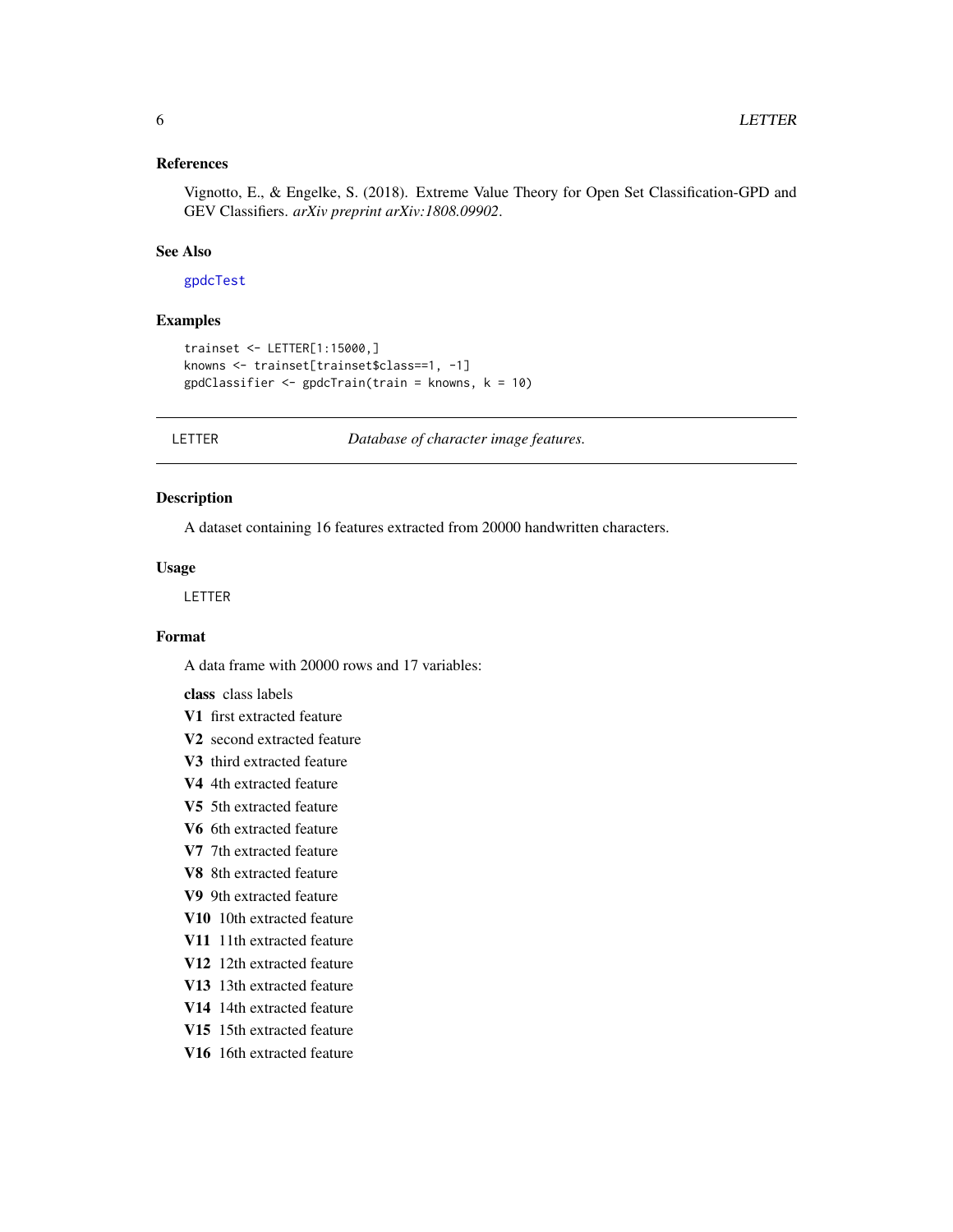#### <span id="page-5-0"></span>References

Vignotto, E., & Engelke, S. (2018). Extreme Value Theory for Open Set Classification-GPD and GEV Classifiers. *arXiv preprint arXiv:1808.09902*.

#### See Also

#### [gpdcTest](#page-3-1)

#### Examples

```
trainset <- LETTER[1:15000,]
knowns <- trainset[trainset$class==1, -1]
gpdClassifier <- gpdcTrain(train = knowns, k = 10)
```
LETTER *Database of character image features.*

#### Description

A dataset containing 16 features extracted from 20000 handwritten characters.

#### Usage

LETTER

#### Format

A data frame with 20000 rows and 17 variables:

class class labels

- V1 first extracted feature
- V2 second extracted feature
- V3 third extracted feature
- V4 4th extracted feature
- V5 5th extracted feature
- V6 6th extracted feature
- V7 7th extracted feature
- V8 8th extracted feature
- V9 9th extracted feature
- V10 10th extracted feature
- V11 11th extracted feature
- V12 12th extracted feature
- V13 13th extracted feature
- V14 14th extracted feature
- V15 15th extracted feature
- V16 16th extracted feature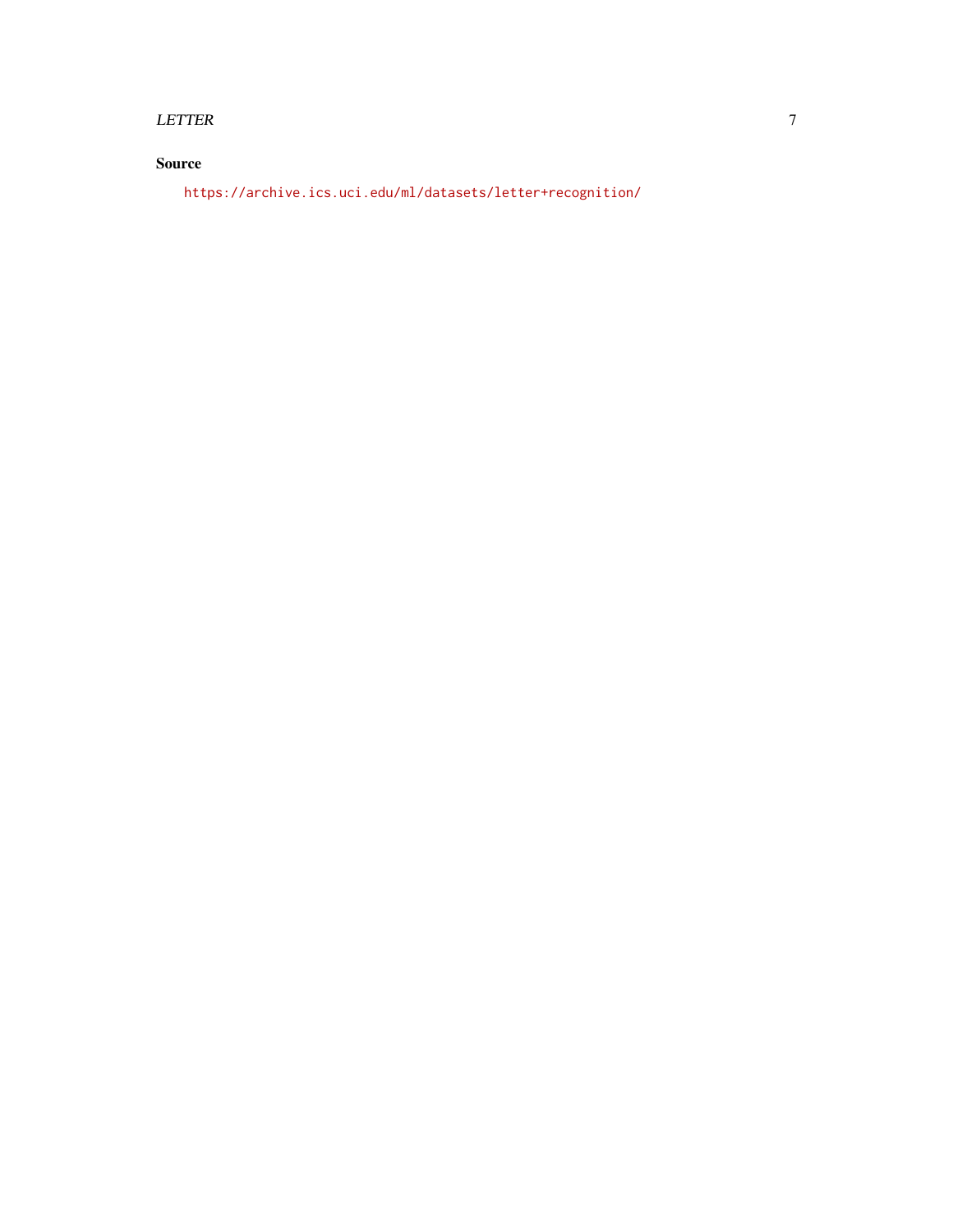#### LETTER 7

### Source

<https://archive.ics.uci.edu/ml/datasets/letter+recognition/>